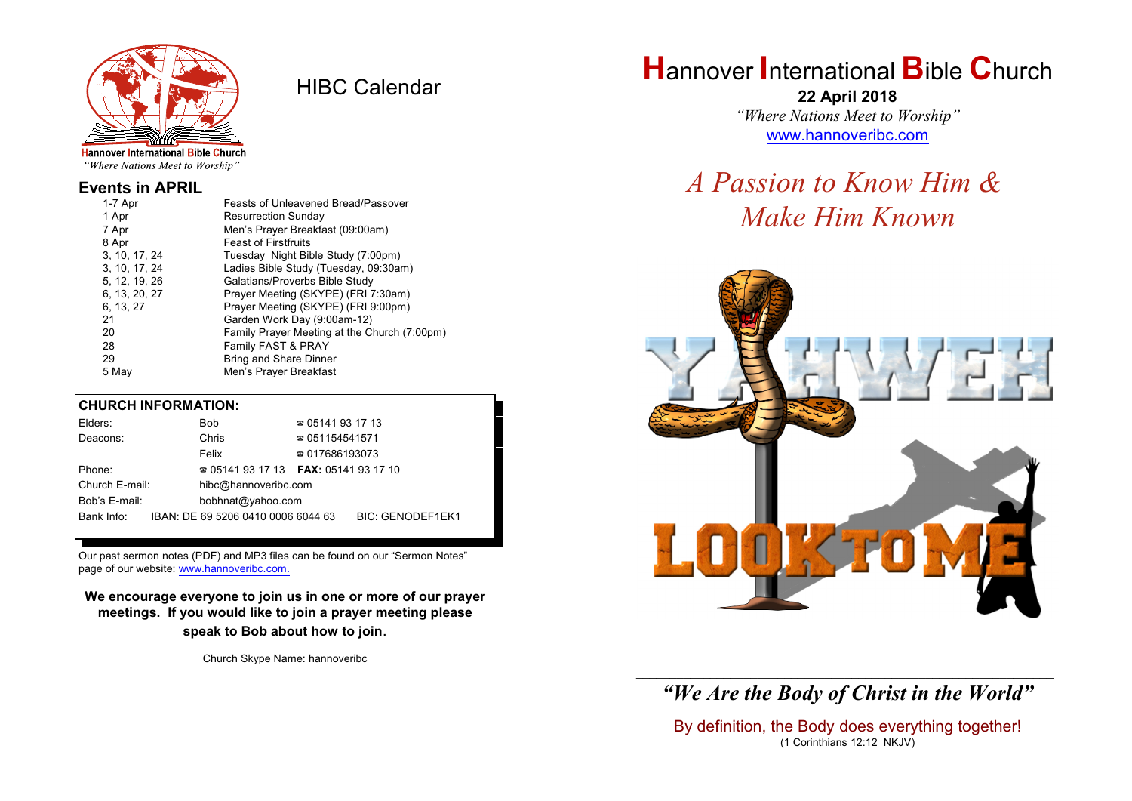

HIBC Calendar

"Where Nations Meet to Worship"

#### **Events in APRIL**

| 1 Apr<br><b>Resurrection Sunday</b>                    |  |
|--------------------------------------------------------|--|
| Men's Prayer Breakfast (09:00am)<br>7 Apr              |  |
| <b>Feast of Firstfruits</b><br>8 Apr                   |  |
| 3, 10, 17, 24<br>Tuesday Night Bible Study (7:00pm)    |  |
| Ladies Bible Study (Tuesday, 09:30am)<br>3, 10, 17, 24 |  |
| Galatians/Proverbs Bible Study<br>5, 12, 19, 26        |  |
| Prayer Meeting (SKYPE) (FRI 7:30am)<br>6, 13, 20, 27   |  |
| Prayer Meeting (SKYPE) (FRI 9:00pm)<br>6, 13, 27       |  |
| 21<br>Garden Work Day (9:00am-12)                      |  |
| 20<br>Family Prayer Meeting at the Church (7:00pm)     |  |
| Family FAST & PRAY<br>28                               |  |
| 29<br>Bring and Share Dinner                           |  |
| Men's Prayer Breakfast<br>5 Mav                        |  |

#### **CHURCH INFORMATION:**

| Elders:        | Bob                                      | $\approx 05141931713$  |                         |
|----------------|------------------------------------------|------------------------|-------------------------|
| Deacons:       | Chris                                    | $\approx 051154541571$ |                         |
|                | Felix                                    | $\approx 017686193073$ |                         |
| Phone:         | $\approx 05141931713$ FAX: 0514193 17 10 |                        |                         |
| Church E-mail: | hibc@hannoveribc.com                     |                        |                         |
| Bob's E-mail:  | bobhnat@yahoo.com                        |                        |                         |
| Bank Info:     | IBAN: DE 69 5206 0410 0006 6044 63       |                        | <b>BIC: GENODEF1EK1</b> |

Our past sermon notes (PDF) and MP3 files can be found on our "Sermon Notes" page of our website: [www.hannoveribc.com.](http://www.hannoveribc.com.)

**We encourage everyone to join us in one or more of our prayer meetings. If you would like to join a prayer meeting please speak to Bob about how to join**.

Church Skype Name: hannoveribc

## **H**annover **I**nternational **B**ible **C**hurch

**22 April 2018** *"Where Nations Meet to Worship"* [www.hannoveribc.com](http://www.hannoveribc.com)

# *A Passion to Know Him & Make Him Known*



\_\_\_\_\_\_\_\_\_\_\_\_\_\_\_\_\_\_\_\_\_\_\_\_\_\_\_\_\_\_\_\_\_\_\_\_\_\_\_\_\_\_\_\_\_\_\_\_\_\_\_\_\_\_\_\_\_\_\_\_\_\_ *"We Are the Body of Christ in the World"*

By definition, the Body does everything together! (1 Corinthians 12:12 NKJV)